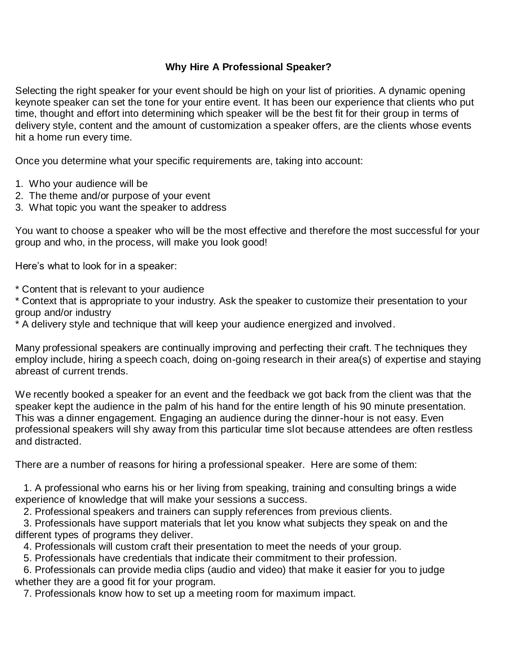## **Why Hire A Professional Speaker?**

Selecting the right speaker for your event should be high on your list of priorities. A dynamic opening keynote speaker can set the tone for your entire event. It has been our experience that clients who put time, thought and effort into determining which speaker will be the best fit for their group in terms of delivery style, content and the amount of customization a speaker offers, are the clients whose events hit a home run every time.

Once you determine what your specific requirements are, taking into account:

- 1. Who your audience will be
- 2. The theme and/or purpose of your event
- 3. What topic you want the speaker to address

You want to choose a speaker who will be the most effective and therefore the most successful for your group and who, in the process, will make you look good!

Here's what to look for in a speaker:

\* Content that is relevant to your audience

\* Context that is appropriate to your industry. Ask the speaker to customize their presentation to your group and/or industry

\* A delivery style and technique that will keep your audience energized and involved.

Many professional speakers are continually improving and perfecting their craft. The techniques they employ include, hiring a speech coach, doing on-going research in their area(s) of expertise and staying abreast of current trends.

We recently booked a speaker for an event and the feedback we got back from the client was that the speaker kept the audience in the palm of his hand for the entire length of his 90 minute presentation. This was a dinner engagement. Engaging an audience during the dinner-hour is not easy. Even professional speakers will shy away from this particular time slot because attendees are often restless and distracted.

There are a number of reasons for hiring a professional speaker. Here are some of them:

 1. A professional who earns his or her living from speaking, training and consulting brings a wide experience of knowledge that will make your sessions a success.

2. Professional speakers and trainers can supply references from previous clients.

 3. Professionals have support materials that let you know what subjects they speak on and the different types of programs they deliver.

4. Professionals will custom craft their presentation to meet the needs of your group.

5. Professionals have credentials that indicate their commitment to their profession.

 6. Professionals can provide media clips (audio and video) that make it easier for you to judge whether they are a good fit for your program.

7. Professionals know how to set up a meeting room for maximum impact.